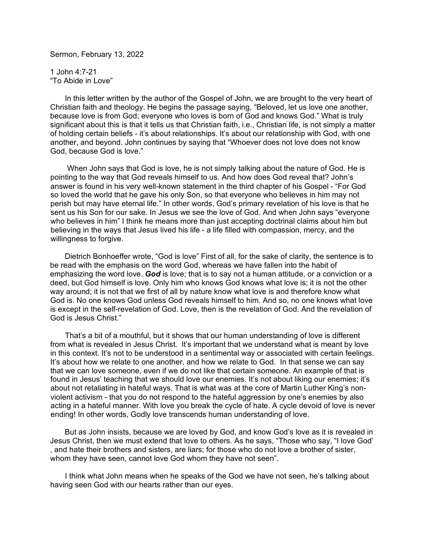Sermon, February 13, 2022

1 John 4:7-21 "To Abide in Love"

 In this letter written by the author of the Gospel of John, we are brought to the very heart of Christian faith and theology. He begins the passage saying, "Beloved, let us love one another, because love is from God; everyone who loves is born of God and knows God." What is truly significant about this is that it tells us that Christian faith, i.e., Christian life, is not simply a matter of holding certain beliefs - it's about relationships. It's about our relationship with God, with one another, and beyond. John continues by saying that "Whoever does not love does not know God, because God is love."

 When John says that God is love, he is not simply talking about the nature of God. He is pointing to the way that God reveals himself to us. And how does God reveal that? John's answer is found in his very well-known statement in the third chapter of his Gospel - "For God so loved the world that he gave his only Son, so that everyone who believes in him may not perish but may have eternal life." In other words, God's primary revelation of his love is that he sent us his Son for our sake. In Jesus we see the love of God. And when John says "everyone who believes in him" I think he means more than just accepting doctrinal claims about him but believing in the ways that Jesus lived his life - a life filled with compassion, mercy, and the willingness to forgive.

 Dietrich Bonhoeffer wrote, "God is love" First of all, for the sake of clarity, the sentence is to be read with the emphasis on the word God, whereas we have fallen into the habit of emphasizing the word love. *God* is love; that is to say not a human attitude, or a conviction or a deed, but God himself is love. Only him who knows God knows what love is; it is not the other way around; it is not that we first of all by nature know what love is and therefore know what God is. No one knows God unless God reveals himself to him. And so, no one knows what love is except in the self-revelation of God. Love, then is the revelation of God. And the revelation of God is Jesus Christ."

 That's a bit of a mouthful, but it shows that our human understanding of love is different from what is revealed in Jesus Christ. It's important that we understand what is meant by love in this context. It's not to be understood in a sentimental way or associated with certain feelings. It's about how we relate to one another, and how we relate to God. In that sense we can say that we can love someone, even if we do not like that certain someone. An example of that is found in Jesus' teaching that we should love our enemies. It's not about liking our enemies; it's about not retaliating in hateful ways. That is what was at the core of Martin Luther King's nonviolent activism - that you do not respond to the hateful aggression by one's enemies by also acting in a hateful manner. With love you break the cycle of hate. A cycle devoid of love is never ending! In other words, Godly love transcends human understanding of love.

 But as John insists, because we are loved by God, and know God's love as it is revealed in Jesus Christ, then we must extend that love to others. As he says, "Those who say, "I love God' , and hate their brothers and sisters, are liars; for those who do not love a brother of sister, whom they have seen, cannot love God whom they have not seen".

 I think what John means when he speaks of the God we have not seen, he's talking about having seen God with our hearts rather than our eyes.